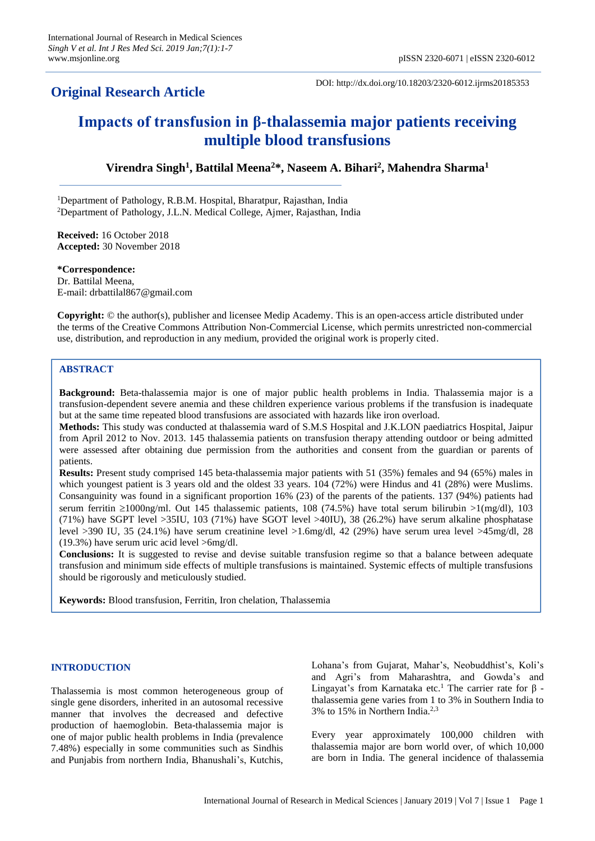# **Original Research Article**

DOI: http://dx.doi.org/10.18203/2320-6012.ijrms20185353

# **Impacts of transfusion in β-thalassemia major patients receiving multiple blood transfusions**

**Virendra Singh<sup>1</sup> , Battilal Meena<sup>2</sup>\*, Naseem A. Bihari<sup>2</sup> , Mahendra Sharma<sup>1</sup>**

<sup>1</sup>Department of Pathology, R.B.M. Hospital, Bharatpur, Rajasthan, India <sup>2</sup>Department of Pathology, J.L.N. Medical College, Ajmer, Rajasthan, India

**Received:** 16 October 2018 **Accepted:** 30 November 2018

**\*Correspondence:** Dr. Battilal Meena, E-mail: drbattilal867@gmail.com

**Copyright:** © the author(s), publisher and licensee Medip Academy. This is an open-access article distributed under the terms of the Creative Commons Attribution Non-Commercial License, which permits unrestricted non-commercial use, distribution, and reproduction in any medium, provided the original work is properly cited.

# **ABSTRACT**

**Background:** Beta-thalassemia major is one of major public health problems in India. Thalassemia major is a transfusion-dependent severe anemia and these children experience various problems if the transfusion is inadequate but at the same time repeated blood transfusions are associated with hazards like iron overload.

**Methods:** This study was conducted at thalassemia ward of S.M.S Hospital and J.K.LON paediatrics Hospital, Jaipur from April 2012 to Nov. 2013. 145 thalassemia patients on transfusion therapy attending outdoor or being admitted were assessed after obtaining due permission from the authorities and consent from the guardian or parents of patients.

**Results:** Present study comprised 145 beta-thalassemia major patients with 51 (35%) females and 94 (65%) males in which youngest patient is 3 years old and the oldest 33 years. 104 (72%) were Hindus and 41 (28%) were Muslims. Consanguinity was found in a significant proportion 16% (23) of the parents of the patients. 137 (94%) patients had serum ferritin  $\geq 1000$ ng/ml. Out 145 thalassemic patients, 108 (74.5%) have total serum bilirubin  $>1$ (mg/dl), 103 (71%) have SGPT level >35IU, 103 (71%) have SGOT level >40IU), 38 (26.2%) have serum alkaline phosphatase level >390 IU, 35 (24.1%) have serum creatinine level >1.6mg/dl, 42 (29%) have serum urea level >45mg/dl, 28 (19.3%) have serum uric acid level >6mg/dl.

**Conclusions:** It is suggested to revise and devise suitable transfusion regime so that a balance between adequate transfusion and minimum side effects of multiple transfusions is maintained. Systemic effects of multiple transfusions should be rigorously and meticulously studied.

**Keywords:** Blood transfusion, Ferritin, Iron chelation, Thalassemia

#### **INTRODUCTION**

Thalassemia is most common heterogeneous group of single gene disorders, inherited in an autosomal recessive manner that involves the decreased and defective production of haemoglobin. Beta-thalassemia major is one of major public health problems in India (prevalence 7.48%) especially in some communities such as Sindhis and Punjabis from northern India, Bhanushali's, Kutchis, Lohana's from Gujarat, Mahar's, Neobuddhist's, Koli's and Agri's from Maharashtra, and Gowda's and Lingayat's from Karnataka etc.<sup>1</sup> The carrier rate for β thalassemia gene varies from 1 to 3% in Southern India to 3% to 15% in Northern India.2,3

Every year approximately 100,000 children with thalassemia major are born world over, of which 10,000 are born in India. The general incidence of thalassemia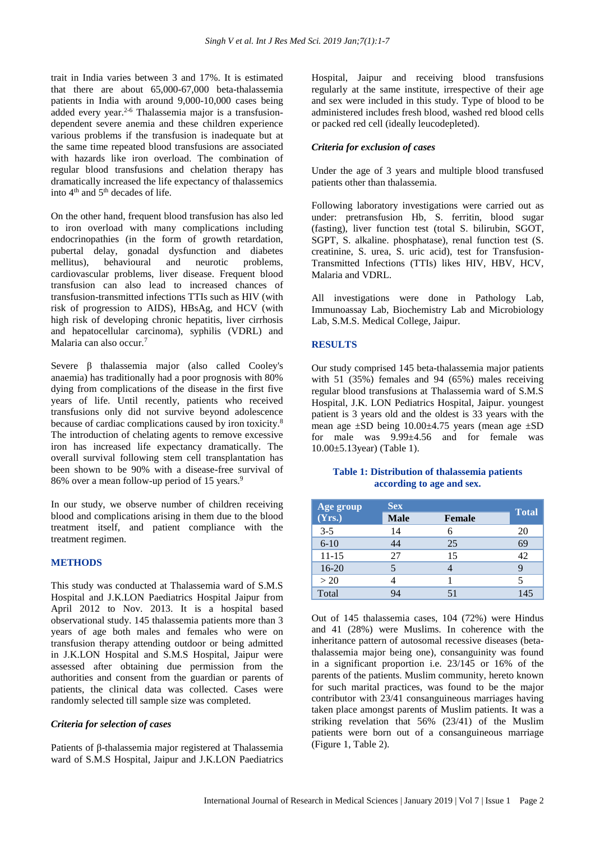trait in India varies between 3 and 17%. It is estimated that there are about 65,000-67,000 beta-thalassemia patients in India with around 9,000-10,000 cases being added every year.<sup>2-6</sup> Thalassemia major is a transfusiondependent severe anemia and these children experience various problems if the transfusion is inadequate but at the same time repeated blood transfusions are associated with hazards like iron overload. The combination of regular blood transfusions and chelation therapy has dramatically increased the life expectancy of thalassemics into 4<sup>th</sup> and 5<sup>th</sup> decades of life.

On the other hand, frequent blood transfusion has also led to iron overload with many complications including endocrinopathies (in the form of growth retardation, pubertal delay, gonadal dysfunction and diabetes mellitus), behavioural and neurotic problems, cardiovascular problems, liver disease. Frequent blood transfusion can also lead to increased chances of transfusion-transmitted infections TTIs such as HIV (with risk of progression to AIDS), HBsAg, and HCV (with high risk of developing chronic hepatitis, liver cirrhosis and hepatocellular carcinoma), syphilis (VDRL) and Malaria can also occur.<sup>7</sup>

Severe β thalassemia major (also called Cooley's anaemia) has traditionally had a poor prognosis with 80% dying from complications of the disease in the first five years of life. Until recently, patients who received transfusions only did not survive beyond adolescence because of cardiac complications caused by iron toxicity.<sup>8</sup> The introduction of chelating agents to remove excessive iron has increased life expectancy dramatically. The overall survival following stem cell transplantation has been shown to be 90% with a disease-free survival of 86% over a mean follow-up period of 15 years.<sup>9</sup>

In our study, we observe number of children receiving blood and complications arising in them due to the blood treatment itself, and patient compliance with the treatment regimen.

#### **METHODS**

This study was conducted at Thalassemia ward of S.M.S Hospital and J.K.LON Paediatrics Hospital Jaipur from April 2012 to Nov. 2013. It is a hospital based observational study. 145 thalassemia patients more than 3 years of age both males and females who were on transfusion therapy attending outdoor or being admitted in J.K.LON Hospital and S.M.S Hospital, Jaipur were assessed after obtaining due permission from the authorities and consent from the guardian or parents of patients, the clinical data was collected. Cases were randomly selected till sample size was completed.

#### *Criteria for selection of cases*

Patients of β-thalassemia major registered at Thalassemia ward of S.M.S Hospital, Jaipur and J.K.LON Paediatrics Hospital, Jaipur and receiving blood transfusions regularly at the same institute, irrespective of their age and sex were included in this study. Type of blood to be administered includes fresh blood, washed red blood cells or packed red cell (ideally leucodepleted).

#### *Criteria for exclusion of cases*

Under the age of 3 years and multiple blood transfused patients other than thalassemia.

Following laboratory investigations were carried out as under: pretransfusion Hb, S. ferritin, blood sugar (fasting), liver function test (total S. bilirubin, SGOT, SGPT, S. alkaline. phosphatase), renal function test (S. creatinine, S. urea, S. uric acid), test for Transfusion-Transmitted Infections (TTIs) likes HIV, HBV, HCV, Malaria and VDRL.

All investigations were done in Pathology Lab, Immunoassay Lab, Biochemistry Lab and Microbiology Lab, S.M.S. Medical College, Jaipur.

### **RESULTS**

Our study comprised 145 beta-thalassemia major patients with 51 (35%) females and 94 (65%) males receiving regular blood transfusions at Thalassemia ward of S.M.S Hospital, J.K. LON Pediatrics Hospital, Jaipur. youngest patient is 3 years old and the oldest is 33 years with the mean age  $\pm$ SD being 10.00 $\pm$ 4.75 years (mean age  $\pm$ SD for male was 9.99±4.56 and for female was 10.00±5.13year) (Table 1).

#### **Table 1: Distribution of thalassemia patients according to age and sex.**

| Age group | <b>Sex</b>  |               |              |  |
|-----------|-------------|---------------|--------------|--|
| (Yrs.)    | <b>Male</b> | <b>Female</b> | <b>Total</b> |  |
| $3 - 5$   | 14          | 6             | 20           |  |
| $6 - 10$  | 44          | 25            | 69           |  |
| $11 - 15$ | 27          | 15            | 42           |  |
| $16 - 20$ |             |               |              |  |
| >20       |             |               |              |  |
| Total     | 94          |               | 145          |  |

Out of 145 thalassemia cases, 104 (72%) were Hindus and 41 (28%) were Muslims. In coherence with the inheritance pattern of autosomal recessive diseases (betathalassemia major being one), consanguinity was found in a significant proportion i.e. 23/145 or 16% of the parents of the patients. Muslim community, hereto known for such marital practices, was found to be the major contributor with 23/41 consanguineous marriages having taken place amongst parents of Muslim patients. It was a striking revelation that 56% (23/41) of the Muslim patients were born out of a consanguineous marriage (Figure 1, Table 2).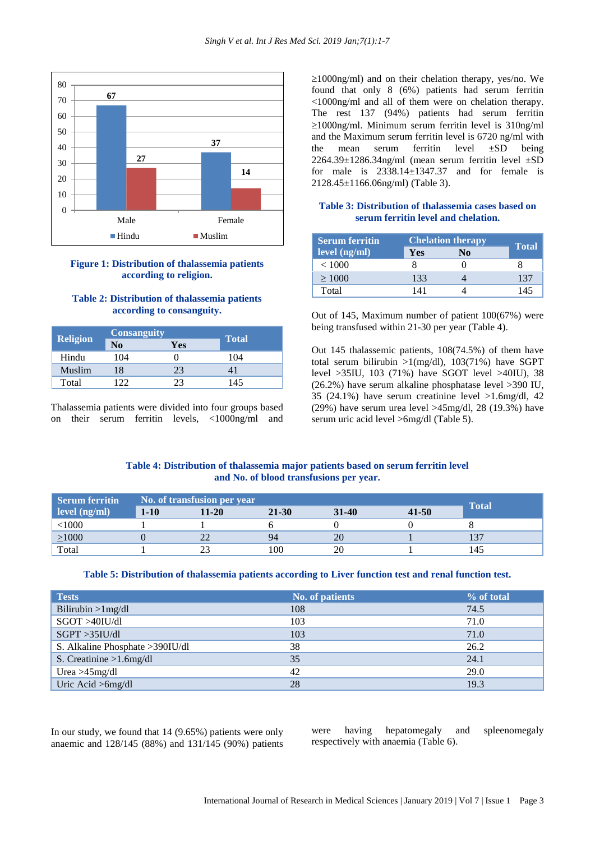

### **Figure 1: Distribution of thalassemia patients according to religion.**

# **Table 2: Distribution of thalassemia patients according to consanguity.**

| <b>Religion</b> |                | <b>Consanguity</b> |              |
|-----------------|----------------|--------------------|--------------|
|                 | N <sub>0</sub> | Yes                | <b>Total</b> |
| Hindu           | 104            |                    | 104          |
| Muslim          | 18             | 23                 |              |
| Total           | ר רו           | つつ                 | 145          |

Thalassemia patients were divided into four groups based on their serum ferritin levels, <1000ng/ml and  $\geq 1000$ ng/ml) and on their chelation therapy, yes/no. We found that only 8 (6%) patients had serum ferritin <1000ng/ml and all of them were on chelation therapy. The rest 137 (94%) patients had serum ferritin  $\geq$ 1000ng/ml. Minimum serum ferritin level is 310ng/ml and the Maximum serum ferritin level is 6720 ng/ml with the mean serum ferritin level ±SD being 2264.39±1286.34ng/ml (mean serum ferritin level ±SD for male is 2338.14±1347.37 and for female is 2128.45±1166.06ng/ml) (Table 3).

# **Table 3: Distribution of thalassemia cases based on serum ferritin level and chelation.**

| <b>Serum ferritin</b> |     | <b>Chelation therapy</b> |              |
|-----------------------|-----|--------------------------|--------------|
| level (ng/ml)         | Yes | No                       | <b>Total</b> |
| < 1000                |     |                          |              |
| $\geq 1000$           | 133 |                          | 137          |
| Total                 |     |                          | 145          |

Out of 145, Maximum number of patient 100(67%) were being transfused within 21-30 per year (Table 4).

Out 145 thalassemic patients, 108(74.5%) of them have total serum bilirubin  $>1$ (mg/dl), 103(71%) have SGPT level >35IU, 103 (71%) have SGOT level >40IU), 38 (26.2%) have serum alkaline phosphatase level >390 IU, 35 (24.1%) have serum creatinine level >1.6mg/dl, 42 (29%) have serum urea level >45mg/dl, 28 (19.3%) have serum uric acid level >6mg/dl (Table 5).

## **Table 4: Distribution of thalassemia major patients based on serum ferritin level and No. of blood transfusions per year.**

| <b>Serum ferritin</b> | No. of transfusion per year |       |           |           |           |              |
|-----------------------|-----------------------------|-------|-----------|-----------|-----------|--------------|
| level (ng/ml)         | $1-10$                      | 11-20 | $21 - 30$ | $31 - 40$ | $41 - 50$ | <b>Total</b> |
| $<$ 1000 $<$          |                             |       |           |           |           |              |
| $\geq 1000$           |                             |       | 94        |           |           | 137          |
| Total                 |                             |       | 100       | 20        |           | 145          |

#### **Table 5: Distribution of thalassemia patients according to Liver function test and renal function test.**

| <b>Tests</b>                     | <b>No. of patients</b> | % of total |
|----------------------------------|------------------------|------------|
| Bilirubin $>1$ mg/dl             | 108                    | 74.5       |
| SGOT >40IU/dl                    | 103                    | 71.0       |
| $SGPT > 35$ IU/dl                | 103                    | 71.0       |
| S. Alkaline Phosphate > 390IU/dl | 38                     | 26.2       |
| S. Creatinine $>1.6$ mg/dl       | 35                     | 24.1       |
| Urea $>45$ mg/dl                 | 42                     | 29.0       |
| Uric Acid > 6mg/dl               | 28                     | 19.3       |

In our study, we found that 14 (9.65%) patients were only anaemic and 128/145 (88%) and 131/145 (90%) patients were having hepatomegaly and spleenomegaly respectively with anaemia (Table 6).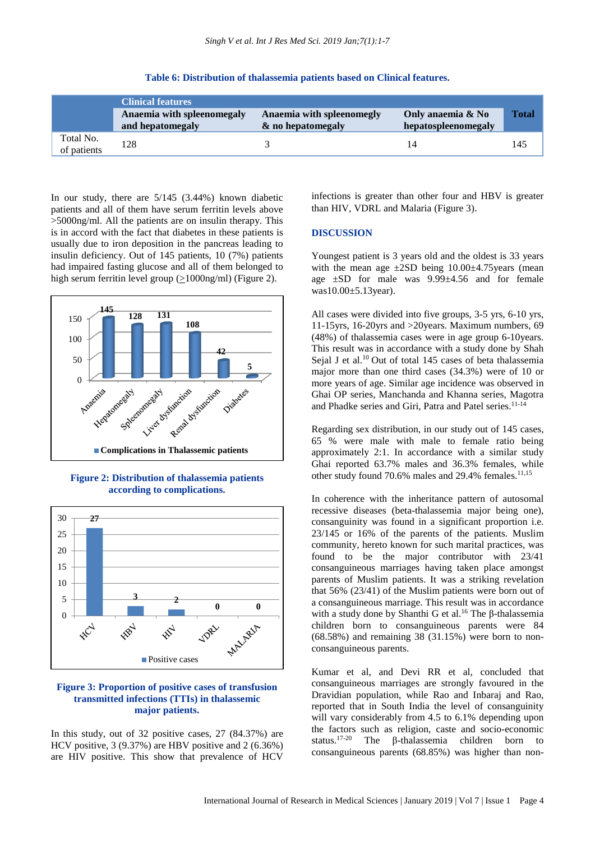|                          | <b>Clinical features</b>                       |                                                |                                          |       |
|--------------------------|------------------------------------------------|------------------------------------------------|------------------------------------------|-------|
|                          | Anaemia with spleenomegaly<br>and hepatomegaly | Anaemia with spleenomegly<br>& no hepatomegaly | Only anaemia & No<br>hepatospleenomegaly | Total |
| Total No.<br>of patients | 128                                            |                                                |                                          | 145   |

#### **Table 6: Distribution of thalassemia patients based on Clinical features.**

In our study, there are 5/145 (3.44%) known diabetic patients and all of them have serum ferritin levels above >5000ng/ml. All the patients are on insulin therapy. This is in accord with the fact that diabetes in these patients is usually due to iron deposition in the pancreas leading to insulin deficiency. Out of 145 patients, 10 (7%) patients had impaired fasting glucose and all of them belonged to high serum ferritin level group  $(≥1000ng/ml)$  (Figure 2).



**Figure 2: Distribution of thalassemia patients according to complications.**



# **Figure 3: Proportion of positive cases of transfusion transmitted infections (TTIs) in thalassemic major patients.**

In this study, out of 32 positive cases, 27 (84.37%) are HCV positive, 3 (9.37%) are HBV positive and 2 (6.36%) are HIV positive. This show that prevalence of HCV

infections is greater than other four and HBV is greater than HIV, VDRL and Malaria (Figure 3).

#### **DISCUSSION**

Youngest patient is 3 years old and the oldest is 33 years with the mean age  $\pm 2SD$  being  $10.00\pm 4.75$  years (mean age ±SD for male was 9.99±4.56 and for female was10.00±5.13year).

All cases were divided into five groups, 3-5 yrs, 6-10 yrs, 11-15yrs, 16-20yrs and >20years. Maximum numbers, 69 (48%) of thalassemia cases were in age group 6-10years. This result was in accordance with a study done by Shah Sejal J et al.<sup>10</sup> Out of total 145 cases of beta thalassemia major more than one third cases (34.3%) were of 10 or more years of age. Similar age incidence was observed in Ghai OP series, Manchanda and Khanna series, Magotra and Phadke series and Giri, Patra and Patel series.<sup>11-14</sup>

Regarding sex distribution, in our study out of 145 cases, 65 % were male with male to female ratio being approximately 2:1. In accordance with a similar study Ghai reported 63.7% males and 36.3% females, while other study found 70.6% males and 29.4% females.<sup>11,15</sup>

In coherence with the inheritance pattern of autosomal recessive diseases (beta-thalassemia major being one), consanguinity was found in a significant proportion i.e. 23/145 or 16% of the parents of the patients. Muslim community, hereto known for such marital practices, was found to be the major contributor with 23/41 consanguineous marriages having taken place amongst parents of Muslim patients. It was a striking revelation that 56% (23/41) of the Muslim patients were born out of a consanguineous marriage. This result was in accordance with a study done by Shanthi G et al.<sup>16</sup> The β-thalassemia children born to consanguineous parents were 84 (68.58%) and remaining 38 (31.15%) were born to nonconsanguineous parents.

Kumar et al, and Devi RR et al, concluded that consanguineous marriages are strongly favoured in the Dravidian population, while Rao and Inbaraj and Rao, reported that in South India the level of consanguinity will vary considerably from 4.5 to 6.1% depending upon the factors such as religion, caste and socio-economic status.17-20 The β-thalassemia children born to consanguineous parents (68.85%) was higher than non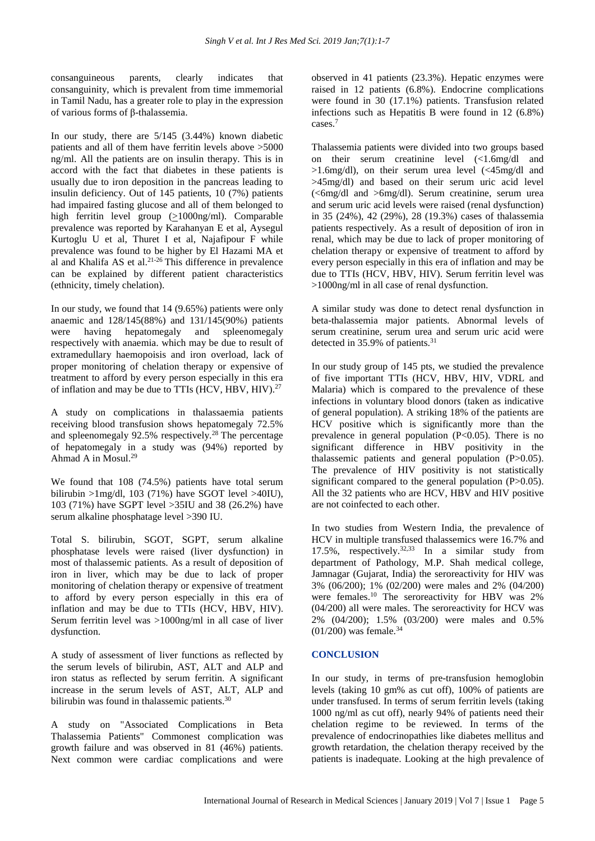consanguineous parents, clearly indicates that consanguinity, which is prevalent from time immemorial in Tamil Nadu, has a greater role to play in the expression of various forms of β-thalassemia.

In our study, there are 5/145 (3.44%) known diabetic patients and all of them have ferritin levels above >5000 ng/ml. All the patients are on insulin therapy. This is in accord with the fact that diabetes in these patients is usually due to iron deposition in the pancreas leading to insulin deficiency. Out of 145 patients, 10 (7%) patients had impaired fasting glucose and all of them belonged to high ferritin level group (>1000ng/ml). Comparable prevalence was reported by Karahanyan E et al, Aysegul Kurtoglu U et al, Thuret I et al, Najafipour F while prevalence was found to be higher by El Hazami MA et al and Khalifa AS et al. 21-26 This difference in prevalence can be explained by different patient characteristics (ethnicity, timely chelation).

In our study, we found that 14 (9.65%) patients were only anaemic and 128/145(88%) and 131/145(90%) patients<br>were having hepatomegaly and spleenomegaly were having hepatomegaly and spleenomegaly respectively with anaemia. which may be due to result of extramedullary haemopoisis and iron overload, lack of proper monitoring of chelation therapy or expensive of treatment to afford by every person especially in this era of inflation and may be due to TTIs (HCV, HBV, HIV).<sup>27</sup>

A study on complications in thalassaemia patients receiving blood transfusion shows hepatomegaly 72.5% and spleenomegaly 92.5% respectively.<sup>28</sup> The percentage of hepatomegaly in a study was (94%) reported by Ahmad A in Mosul.<sup>29</sup>

We found that 108 (74.5%) patients have total serum bilirubin  $>1$ mg/dl, 103 (71%) have SGOT level  $>40$ IU), 103 (71%) have SGPT level >35IU and 38 (26.2%) have serum alkaline phosphatage level >390 IU.

Total S. bilirubin, SGOT, SGPT, serum alkaline phosphatase levels were raised (liver dysfunction) in most of thalassemic patients. As a result of deposition of iron in liver, which may be due to lack of proper monitoring of chelation therapy or expensive of treatment to afford by every person especially in this era of inflation and may be due to TTIs (HCV, HBV, HIV). Serum ferritin level was >1000ng/ml in all case of liver dysfunction.

A study of assessment of liver functions as reflected by the serum levels of bilirubin, AST, ALT and ALP and iron status as reflected by serum ferritin. A significant increase in the serum levels of AST, ALT, ALP and bilirubin was found in thalassemic patients.<sup>30</sup>

A study on "Associated Complications in Beta Thalassemia Patients" Commonest complication was growth failure and was observed in 81 (46%) patients. Next common were cardiac complications and were observed in 41 patients (23.3%). Hepatic enzymes were raised in 12 patients (6.8%). Endocrine complications were found in 30 (17.1%) patients. Transfusion related infections such as Hepatitis B were found in 12 (6.8%) cases.<sup>7</sup>

Thalassemia patients were divided into two groups based on their serum creatinine level (<1.6mg/dl and >1.6mg/dl), on their serum urea level (<45mg/dl and >45mg/dl) and based on their serum uric acid level  $\langle \langle 6mg/dl \rangle$  and  $>6mg/dl$ ). Serum creatinine, serum urea and serum uric acid levels were raised (renal dysfunction) in 35 (24%), 42 (29%), 28 (19.3%) cases of thalassemia patients respectively. As a result of deposition of iron in renal, which may be due to lack of proper monitoring of chelation therapy or expensive of treatment to afford by every person especially in this era of inflation and may be due to TTIs (HCV, HBV, HIV). Serum ferritin level was >1000ng/ml in all case of renal dysfunction.

A similar study was done to detect renal dysfunction in beta-thalassemia major patients. Abnormal levels of serum creatinine, serum urea and serum uric acid were detected in 35.9% of patients.<sup>31</sup>

In our study group of 145 pts, we studied the prevalence of five important TTIs (HCV, HBV, HIV, VDRL and Malaria) which is compared to the prevalence of these infections in voluntary blood donors (taken as indicative of general population). A striking 18% of the patients are HCV positive which is significantly more than the prevalence in general population  $(P<0.05)$ . There is no significant difference in HBV positivity in the thalassemic patients and general population (P>0.05). The prevalence of HIV positivity is not statistically significant compared to the general population (P>0.05). All the 32 patients who are HCV, HBV and HIV positive are not coinfected to each other.

In two studies from Western India, the prevalence of HCV in multiple transfused thalassemics were 16.7% and 17.5%, respectively.32,33 In a similar study from department of Pathology, M.P. Shah medical college, Jamnagar (Gujarat, India) the seroreactivity for HIV was 3% (06/200); 1% (02/200) were males and 2% (04/200) were females.<sup>10</sup> The seroreactivity for HBV was 2% (04/200) all were males. The seroreactivity for HCV was 2% (04/200); 1.5% (03/200) were males and 0.5%  $(01/200)$  was female.<sup>34</sup>

# **CONCLUSION**

In our study, in terms of pre-transfusion hemoglobin levels (taking 10 gm% as cut off), 100% of patients are under transfused. In terms of serum ferritin levels (taking 1000 ng/ml as cut off), nearly 94% of patients need their chelation regime to be reviewed. In terms of the prevalence of endocrinopathies like diabetes mellitus and growth retardation, the chelation therapy received by the patients is inadequate. Looking at the high prevalence of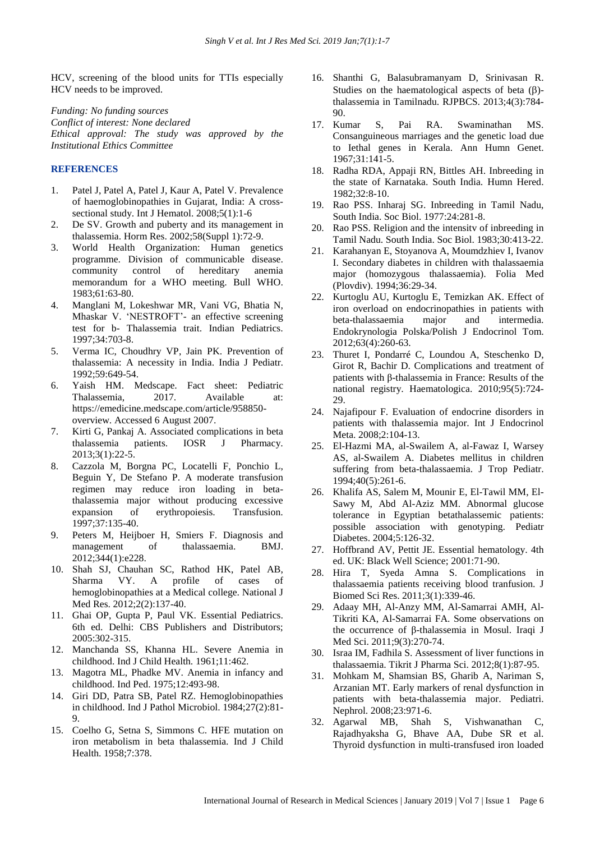HCV, screening of the blood units for TTIs especially HCV needs to be improved.

*Funding: No funding sources Conflict of interest: None declared Ethical approval: The study was approved by the Institutional Ethics Committee*

# **REFERENCES**

- 1. Patel J, Patel A, Patel J, Kaur A, Patel V. Prevalence of haemoglobinopathies in Gujarat, India: A crosssectional study. Int J Hematol. 2008;5(1):1-6
- 2. De SV. Growth and puberty and its management in thalassemia. Horm Res. 2002;58(Suppl 1):72-9.
- 3. World Health Organization: Human genetics programme. Division of communicable disease. community control of hereditary anemia memorandum for a WHO meeting. Bull WHO. 1983;61:63-80.
- 4. Manglani M, Lokeshwar MR, Vani VG, Bhatia N, Mhaskar V. 'NESTROFT'- an effective screening test for b- Thalassemia trait. Indian Pediatrics. 1997;34:703-8.
- 5. Verma IC, Choudhry VP, Jain PK. Prevention of thalassemia: A necessity in India. India J Pediatr. 1992;59:649-54.
- 6. Yaish HM. Medscape. Fact sheet: Pediatric Thalassemia, 2017. Available at: https://emedicine.medscape.com/article/958850 overview. Accessed 6 August 2007.
- 7. Kirti G, Pankaj A. Associated complications in beta thalassemia patients. IOSR J Pharmacy. 2013;3(1):22-5.
- 8. Cazzola M, Borgna PC, Locatelli F, Ponchio L, Beguin Y, De Stefano P. A moderate transfusion regimen may reduce iron loading in betathalassemia major without producing excessive expansion of erythropoiesis. Transfusion. 1997;37:135-40.
- 9. Peters M, [Heijboer](http://www.ncbi.nlm.nih.gov/entrez/query.fcgi?cmd=Retrieve&db=PubMed&dopt=Abstract&list_uids=22277544) H, Smiers F. Diagnosis and management of thalassaemia. BMJ. 2012;344(1):e228.
- 10. Shah SJ, Chauhan SC, Rathod HK, Patel AB, Sharma VY. A profile of cases of hemoglobinopathies at a Medical college. National J Med Res. 2012;2(2):137-40.
- 11. Ghai OP, Gupta P, Paul VK. Essential Pediatrics. 6th ed. Delhi: CBS Publishers and Distributors; 2005:302-315.
- 12. Manchanda SS, Khanna HL. Severe Anemia in childhood. Ind J Child Health. 1961;11:462.
- 13. Magotra ML, Phadke MV. Anemia in infancy and childhood. Ind Ped. 1975;12:493-98.
- 14. Giri DD, Patra SB, Patel RZ. Hemoglobinopathies in childhood. Ind J Pathol Microbiol. 1984;27(2):81-  $\mathbf{Q}$
- 15. Coelho G, Setna S, Simmons C. HFE mutation on iron metabolism in beta thalassemia. Ind J Child Health. 1958;7:378.
- 16. Shanthi G, Balasubramanyam D, Srinivasan R. Studies on the haematological aspects of beta  $(\beta)$ thalassemia in Tamilnadu. RJPBCS. 2013;4(3):784- 90.
- 17. Kumar S, Pai RA. Swaminathan MS. Consanguineous marriages and the genetic load due to Iethal genes in Kerala. Ann Humn Genet. 1967;31:141-5.
- 18. Radha RDA, Appaji RN, Bittles AH. Inbreeding in the state of Karnataka. South India. Humn Hered. 1982;32:8-10.
- 19. Rao PSS. Inharaj SG. Inbreeding in Tamil Nadu, South India. Soc Biol. 1977:24:281-8.
- 20. Rao PSS. Religion and the intensitv of inbreeding in Tamil Nadu. South India. Soc Biol. 1983;30:413-22.
- 21. Karahanyan E, Stoyanova A, Moumdzhiev I, Ivanov I. Secondary diabetes in children with thalassaemia major (homozygous thalassaemia). Folia Med (Plovdiv). 1994;36:29-34.
- 22. Kurtoglu AU, Kurtoglu E, Temizkan AK. Effect of iron overload on endocrinopathies in patients with beta-thalassaemia major and intermedia. Endokrynologia Polska/Polish J Endocrinol Tom. 2012;63(4):260-63.
- 23. Thuret I, Pondarré C, Loundou A, Steschenko D, Girot R, Bachir D. Complications and treatment of patients with β-thalassemia in France: Results of the national registry. Haematologica. 2010;95(5):724- 29.
- 24. Najafipour F. Evaluation of endocrine disorders in patients with thalassemia major. Int J Endocrinol Meta. 2008;2:104-13.
- 25. El-Hazmi MA, al-Swailem A, al-Fawaz I, Warsey AS, al-Swailem A. Diabetes mellitus in children suffering from beta-thalassaemia. J Trop Pediatr. 1994;40(5):261-6.
- 26. Khalifa AS, Salem M, Mounir E, El-Tawil MM, El-Sawy M, Abd Al-Aziz MM. Abnormal glucose tolerance in Egyptian betathalassemic patients: possible association with genotyping. Pediatr Diabetes. 2004;5:126-32.
- 27. Hoffbrand AV, Pettit JE. Essential hematology. 4th ed. UK: Black Well Science; 2001:71-90.
- 28. Hira T, Syeda Amna S. Complications in thalassaemia patients receiving blood tranfusion. J Biomed Sci Res. 2011;3(1):339-46.
- 29. Adaay MH, Al-Anzy MM, Al-Samarrai AMH, Al-Tikriti KA, Al-Samarrai FA. Some observations on the occurrence of β-thalassemia in Mosul. Iraqi J Med Sci. 2011;9(3):270-74.
- 30. Israa IM, Fadhila S. Assessment of liver functions in thalassaemia. Tikrit J Pharma Sci. 2012;8(1):87-95.
- 31. Mohkam M, Shamsian BS, Gharib A, Nariman S, Arzanian MT. Early markers of renal dysfunction in patients with beta-thalassemia major. Pediatri. Nephrol. 2008;23:971-6.
- 32. [Agarwal](https://www.ncbi.nlm.nih.gov/pubmed/?term=Agarwal%20MB%5BAuthor%5D&cauthor=true&cauthor_uid=1459722) MB, [Shah](https://www.ncbi.nlm.nih.gov/pubmed/?term=Shah%20S%5BAuthor%5D&cauthor=true&cauthor_uid=1459722) S, [Vishwanathan](https://www.ncbi.nlm.nih.gov/pubmed/?term=Vishwanathan%20C%5BAuthor%5D&cauthor=true&cauthor_uid=1459722) C, [Rajadhyaksha](https://www.ncbi.nlm.nih.gov/pubmed/?term=Rajadhyaksha%20G%5BAuthor%5D&cauthor=true&cauthor_uid=1459722) G, [Bhave](https://www.ncbi.nlm.nih.gov/pubmed/?term=Bhave%20AA%5BAuthor%5D&cauthor=true&cauthor_uid=1459722) AA, [Dube](https://www.ncbi.nlm.nih.gov/pubmed/?term=Dube%20SR%5BAuthor%5D&cauthor=true&cauthor_uid=1459722) SR et al. Thyroid dysfunction in multi-transfused iron loaded